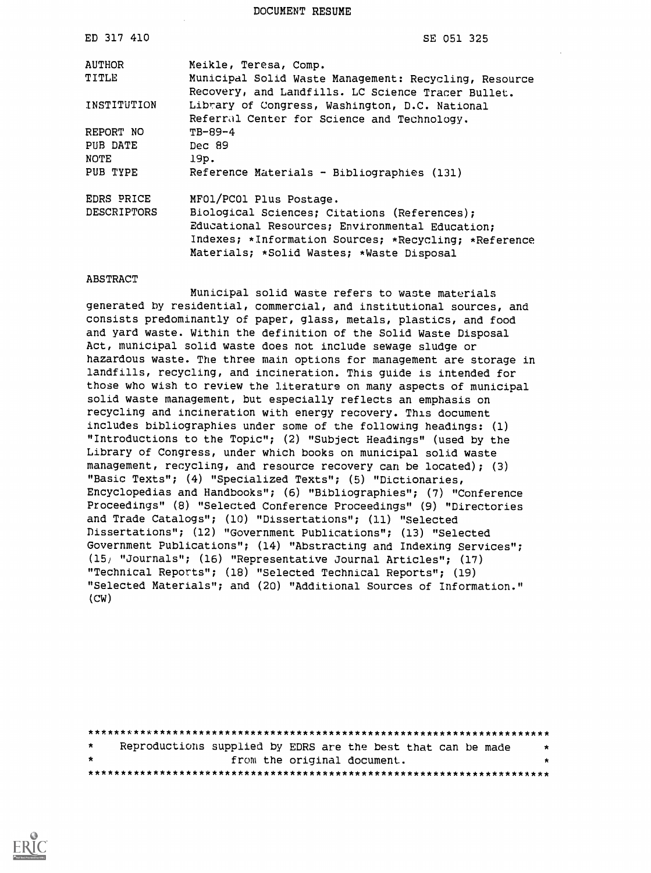DOCUMENT RESUME

| ED 317 410  | SE 051 325                                                                                                  |  |  |  |  |
|-------------|-------------------------------------------------------------------------------------------------------------|--|--|--|--|
| AUTHOR      | Meikle, Teresa, Comp.                                                                                       |  |  |  |  |
| TITLE       | Municipal Solid Waste Management: Recycling, Resource<br>Recovery, and Landfills. LC Science Tracer Bullet. |  |  |  |  |
| INSTITUTION | Library of Congress, Washington, D.C. National<br>Referral Center for Science and Technology.               |  |  |  |  |
| REPORT NO   | $T_{B-89-4}$                                                                                                |  |  |  |  |
| PUB DATE    | Dec 89                                                                                                      |  |  |  |  |
| NOTE        | 19p.                                                                                                        |  |  |  |  |
| PUB TYPE    | Reference Materials - Bibliographies (131)                                                                  |  |  |  |  |
| EDRS PRICE  | MFO1/PCO1 Plus Postage.                                                                                     |  |  |  |  |
| DESCRIPTORS | Biological Sciences; Citations (References);                                                                |  |  |  |  |
|             | Educational Resources; Environmental Education;                                                             |  |  |  |  |
|             | Indexes; *Information Sources; *Recycling; *Reference                                                       |  |  |  |  |
|             | Materials; *Solid Wastes; *Waste Disposal                                                                   |  |  |  |  |

#### ABSTRACT

Municipal solid waste refers to waste materials generated by residential, commercial, and institutional sources, and consists predominantly of paper, glass, metals, plastics, and food and yard waste. Within the definition of the Solid Waste Disposal Act, municipal solid waste does not include sewage sludge or hazardous waste. The three main options for management are storage in landfills, recycling, and incineration. This guide is intended for those who wish to review the literature on many aspects of municipal solid waste management, but especially reflects an emphasis on recycling and incineration with energy recovery. This document includes bibliographies under some of the following headings: (1) "Introductions to the Topic"; (2) "Subject Headings" (used by the Library of Congress, under which books on municipal solid waste management, recycling, and resource recovery can be located); (3) "Basic Texts"; (4) "Specialized Texts"; (5) "Dictionaries, Encyclopedias and Handbooks"; (6) "Bibliographies"; (7) "Conference Proceedings" (8) "Selected Conference Proceedings" (9) "Directories and Trade Catalogs"; (10) "Dissertations"; (11) "Selected Dissertations"; (12) "Government Publications"; (13) "Selected Government Publications"; (14) "Abstracting and Indexing Services"; (15) "Journals"; (16) "Representative Journal Articles"; (17) "Technical Reports"; (18) "Selected Technical Reports"; (19) "Selected Materials"; and (20) "Additional Sources of Information." (CW)

| $\star$ | Reproductions supplied by EDRS are the best that can be made |  |                             | * |
|---------|--------------------------------------------------------------|--|-----------------------------|---|
| *       |                                                              |  | from the original document. |   |
|         |                                                              |  |                             |   |

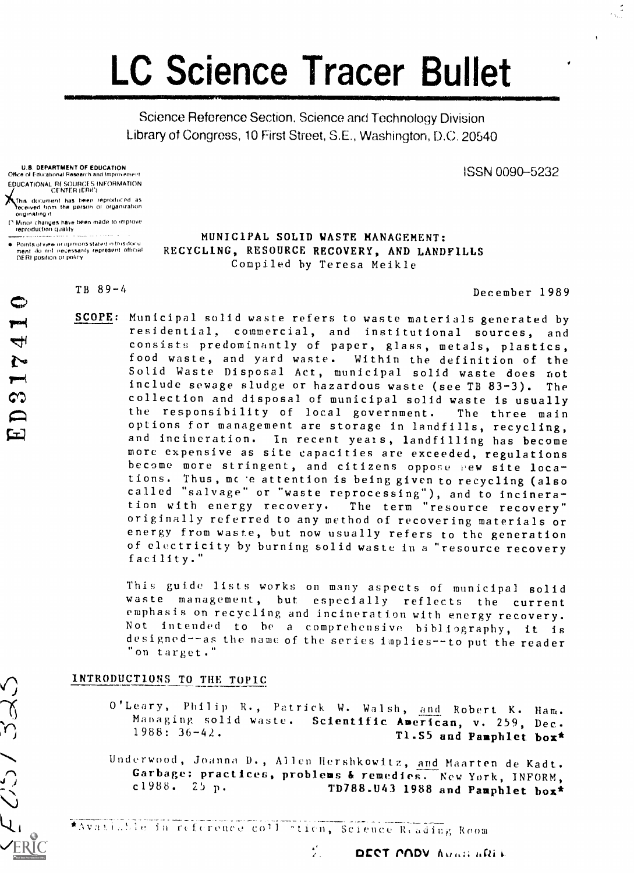# LC Science Tracer Bullet

Science Reference Section, Science and Technology Division Library of Congress, 10 First Street, S.E., Washington, D.C. 20540

U.S. DEPARTMENT OF EDUCATION Office of Educational Research and EDUCATIONAL RESOURCES INFORMATION

**CENTER CONTROLLER (ERIC) DESCRIPTION** ) is document has been reproduced as originating it

r Mina, changes have been made to improve reproduction (wanly

-\_..... . . \_...\_. Points of view or opimons stated ,n Mis does merit kin not necessarily represent &ticket OE RI position or ixeicy

## MUNICIPAL SOLID WASTE MANAGEMENT: RECYCLING, RESOURCE RECOVERY, AND LANDFILLS Compiled by Teresa Meikle

December 1989

ISSN 0090-5232

ASSIMISIMMINSIME MARKET AND A SERIES AND A SERIES AND A SERIES AND A SERIES AND A SERIES AND A SERIES AND A SERIES AND A SERIES AND A SERIES AND A SERIES AND A SERIES AND A SERIES AND A SERIES AND A SERIES AND A SERIES AND

SCOPE: Municipal solid waste refers to waste materials generated by residential, commercial, and institutional sources, and consists predominantly of paper, glass, metals, plastics, food waste, and yard waste. Within the definition of the Solid Waste Disposal Act, municipal solid waste does not include sewage sludge or hazardous waste (see TB 83-3). The collection and disposal of municipal solid waste is usually the responsibility of local government. The three main options for management are storage in landfills, recycling, and incineration. In recent years, landfilling has become more expensive as site capacities are exceeded, regulations become more stringent, and citizens oppose new site locations. Thus, me 'e attention is being given to recycling (also called "salvage" or "waste reprocessing"), and to incineration with energy recovery. The term "resource recovery" originally referred to any method of recovering materials or energy from waste, but now usually refers to the generation of electricity by burning solid waste in a "resource recovery facility."

> This guide lists works on many aspects of municipal solid waste management, but especially reflects the current emphasis on recycling and incineration with energy recovery. Not intended to he <sup>a</sup> comprehensive bibliography, it is designed--as the name of the series implies--to put the reader on target."

# INTRODUCTIONS TO THE TOPIC

O'Leary, Philip R., Patrick W. Walsh, and Robert K. Ham. Managing solid waste. Scientific American, v. 259, Dec.<br>1988: 36-42. T1.55 and Pamphlet box\* T1.S5 and Pamphlet box\*

Underwood, Joanna D., Allen Hershkowitz, and Maarten de Kadt. Garbage: practices, problems & remedies. New York, INFORM, c1988. 25 p. TD788.U43 1988 and Pamphlet box\*

\* Svail Wie in reference coll stich, Science Reading Room

DECT PADV Augustaftis.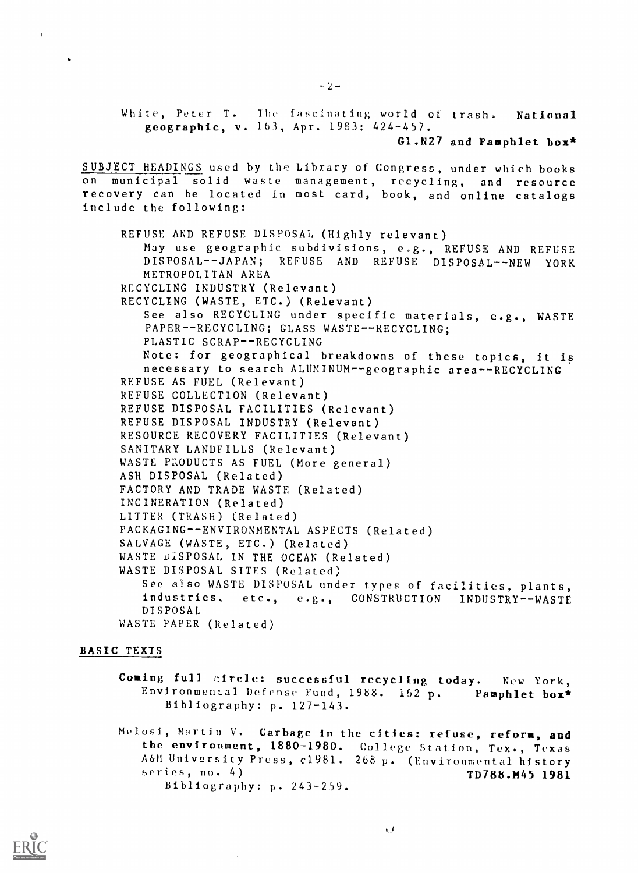White, Peter T. The fascinating world of trash. National geographic, v. 163, Apr. 1983: 424-457.

G1.N27 and Pamphlet box\*

SUBJECT HEADINGS used by the Library of Congress, under which books on municipal solid waste management, recycling, and resource recovery can be located in most card, book, and online catalogs include the following:

REFUSE AND REFUSE DISPOSAL (Highly relevant) May use geographic subdivisions, e.g., REFUSE AND REFUSE DISPOSAL--JAPAN; REFUSE AND REFUSE DISPOSAL--NEW YORK METROPOLITAN AREA RECYCLING INDUSTRY (Relevant) RECYCLING (WASTE, ETC.) (Relevant) See also RECYCLING under specific materials, e.g., WASTE PAPER--RECYCLING; GLASS WASTE--RECYCLING; PLASTIC SCRAP--RECYCLING Note: for geographical breakdowns of these topics, it is necessary to search ALUMINUM--geographic area--RECYCLING REFUSE AS FUEL (Relevant) REFUSE COLLECTION (Relevant) REFUSE DISPOSAL FACILITIES (Relevant) REFUSE DISPOSAL INDUSTRY (Relevant) RESOURCE RECOVERY FACILITIES (Relevant) SANITARY LANDFILLS (Relevant) WASTE PRODUCTS AS FUEL (More general) ASH DISPOSAL (Related) FACTORY AND TRADE WASTE (Related) INCINERATION (Related) LITTER (TRASH) (Related) PACKAGING--ENVIRONMENTAL ASPECTS (Related) SALVAGE (WASTE, ETC.) (Related) WASTE vISPOSAL IN THE OCEAN (Related) WASTE DISPOSAL SITES (Related) See also WASTE DISPOSAL under types of facilities, plants, industries, etc., e.g., CONSTRUCTION INDUSTRY--WASTE DISPOSAL WASTE PAPER (Related)

#### BASIC TEXTS

- Coming full sircle: successful recycling today. New York, Environmental Defense Fund, 1988. 162 p. Pamphlet box\* Bibliography: p. 127-143.
- Melosi, Martin V. Garbage in the cities: refuse, reform, and the environment, 1880-1980. College Station, Tex., Texas A&M University Press, c1981. 268 p. (Environmental history<br>series, no. 4) 70788. 7081 series, no. 4) TD78b.M45 1981 Bibliography: p. 243-259.

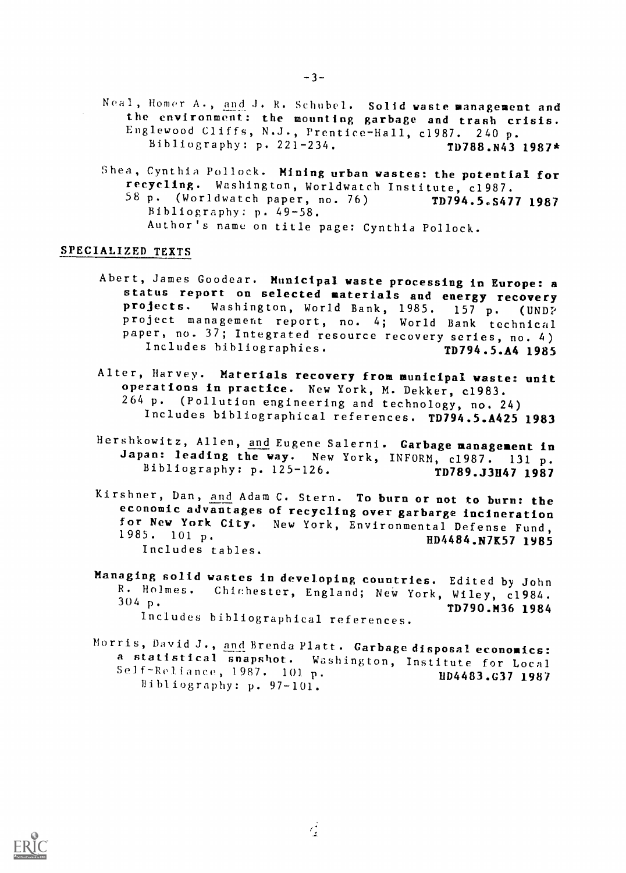- Neal, Homer A., and J. R. Schubel. Solid waste management and the environment: the mounting garbage and trash crisis. Englewood Cliffs, N.J., Prentice-Hall, c1987. 240 p. Bibliography: p. 221-234. TD788.N43 1987\*
- Shea, Cynthia Pollock. Mining urban wastes: the potential for recycling. Washington, Worldwatch Institute, c1987.<br>58 p. (Worldwatch paper, no. 76) 19794.5.8477 1987 58 p. (Worldwatch paper, no. 76) Bibliography: p. 49-58.

Author's name on title page: Cynthia Pollock.

# SPECIALIZED TEXTS

- Abert, James Goodear. Municipal waste processing in Europe: a<br>status report on selected materials and energy recovery<br>projects. Washington, World Bank, 1985. 157 p. (UNDZ projects. Washington, World Bank, 1985. 157 p. (UNDP project management report, no. 4; World Bank technical paper, no. 37; Integrated resource recovery series, no. 4)<br>Includes bibliographies. TD794.5.A4 1985 Includes bibliographies.
- Alter, Harvey. Materials recovery from municipal waste: unit operations in practice. New York, M. Dekker, c1983. 264 p. (Pollution engineering and technology, no. 24) Includes bibliographical references. TD794.5.A425 1983
- Hershkowitz, Allen, and Eugene Salerni. Garbage management in<br>Japan: leading the way. New York, INFORM, c1987. 131 p.<br>Bibliography: p. 125-126. TD789.J3H47 1987
- Kirshner, Dan, and Adam C. Stern. To burn or not to burn: the economic advantages of recycling over garbarge incineration for New York City. New York, Environmental Defense Fund, 1985. 101 p. Includes tables.
- Managing solid wastes in developing countries. Edited by John R. Holmes. Chichester, England; New York, Wiley, c1984.<br>304 p. TD790.M36 1984 Includes bibliographical references.
- Morris, David J., and Brenda Platt. Garbage disposal economics:<br>a statistical snapshot. Washington, Institute for Local<br>Self-Reliance, 1987. 101 p. 1D4483.G37 1987 Bibliography: p. 97-101.

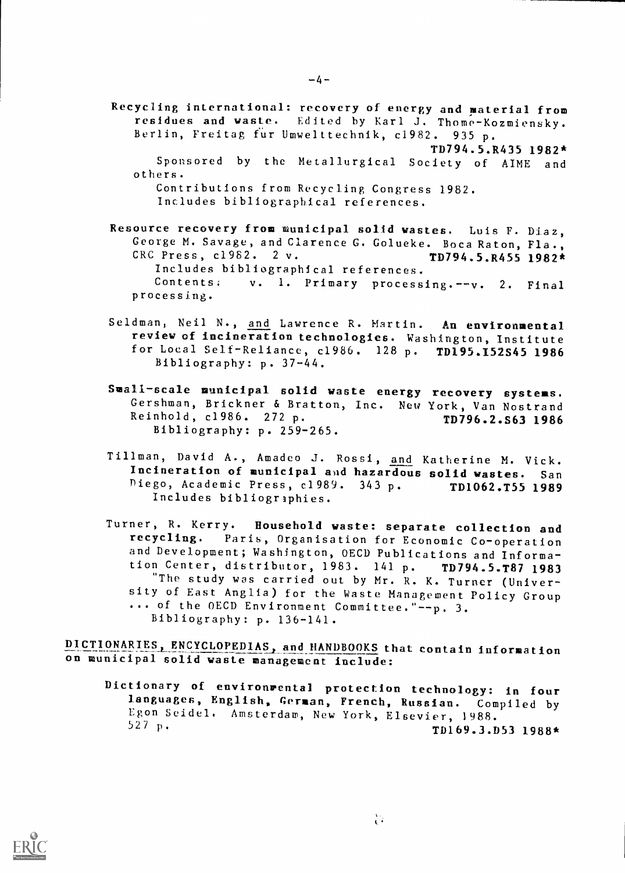- Recycling international: recovery of energy and material from residues and waste. Edited by Karl J. Thome-Kozmiensky. Berlin, Freitag fur Umwelttechnik, c1982. 935 p. TD794.5.R435 1982\*
	- Sponsored by the Metallurgical Society of AIME and others.

Includes bibliographical references.

- Resource recovery from municipal solid wastes. Luis F. Diaz, George M. Savage, and Clarence G. Golueke. Boca Raton, Fla.,<br>CRC Press, cl982. 2 v. **TD794.5.R455 1982\***  $TD794.5.R455 1982*$ Includes bibliographical references.<br>Contents: v. l. Primary process v. 1. Primary processing.--v. 2. Final processing.
- Seldman, Neil N., and Lawrence R. Martin. An environmental review of incineration technologies. Washington, Institute for Local Self-Reliance, c1986. 128 p. TD195.152S45 1986 Bibliography: p. 37-44.
- Small-scale municipal solid waste energy recovery systems. Gershman, Brickner & Bratton, Inc. New York, Van Nostrand Reinhold, c1986. 272 p. TD796.2.S63 1986 Bibliography: p. 259-265.
- Tillman, David A., Amadco J. Rossi, and Katherine M. Vick. Incineration of municipal and hazardous solid wastes. San Diego, Academic Press, c1989. 343 p. TD1062.T55 1989 Includes bibliographies.
- Turner, R. Kerry. Household waste: separate collection and recycling. Paris, Organisation for Economic Co-operation and Development; Washington, OECD Publications and Information Center, distributor, 1983. 141 p. TD794.5.T87 1983 "The study was carried out by Mr. R. K. Turner (University of East Anglia) for the Waste Management Policy Group ... of the OECD Environment Committee."--p. 3. Bibliography: p. 136-141.

DICTIONARIES,ENCYCLOPEDIAS\_, and HANDBOOKS that contain information on municipal solid waste management include:

Dictionary of environrental protection technology: in four languages, English, German, French, Russian. Compiled by Egon Seidel. Amsterdam, New York, Elsevier, 1988. 527 p. TD169.3.D53 1988\*



Contributions from Recycling Congress 1982.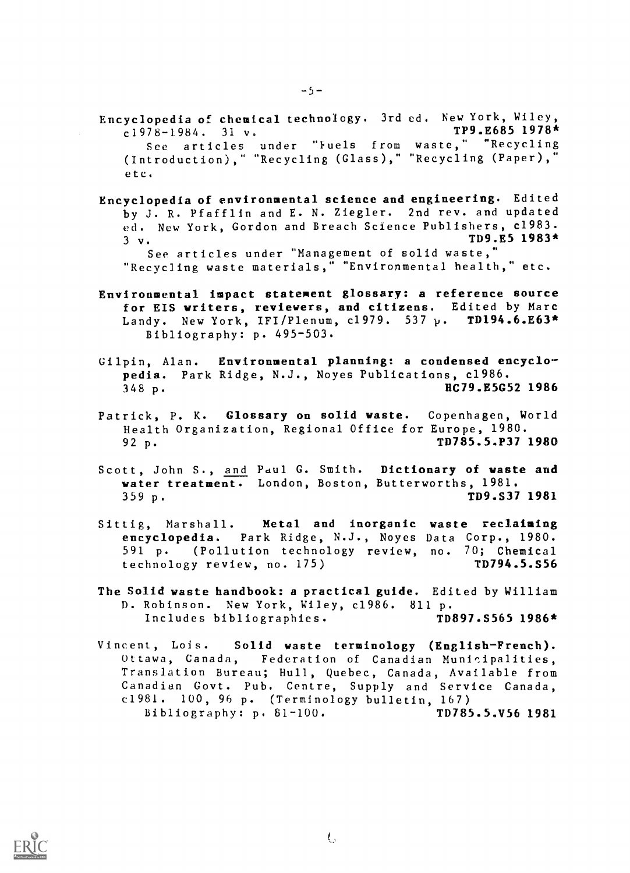- Encyclopedia of chemical technology. 3rd ed. New York, Wiley,<br> $61978-1984$ . 31 v.<br>TP9.E685 1978\*  $c1978-1984.$  31 v. TP9.E685 1978\* See articles under "Fuels from waste," "Recycling (Introduction)," "Recycling (Glass)," "Recycling (Paper)," etc.
- Encyclopedia of environmental science and engineering. Edited by J. R. Pfafflin and E. N. Ziegler. 2nd rev. and updated ed. New York, Gordon and Breach Science Publishers, c1983.  $3 \text{ v}.$  TD9.E5 1983\* See articles under "Management of solid waste,"
	- "Recycling waste materials," "Environmental health," etc.
- Environmental impact statement glossary: a reference source for EIS writers, reviewers, and citizens. Edited by Marc Landy. New York, IFI/Plenum, c1979. 537  $\mu$ . TD194.6.E63\* Bibliography: p. 495-503.
- Gilpin, Alan. Environmental planning: a condensed encyclopedia. Park Ridge, N.J., Noyes Publications, c1986. 348 p. 1986
- Patrick, P. K. Glossary on solid waste. Copenhagen, World Health Organization, Regional Office for Europe, 1980. 92 p. TD785.5.P37 1980
- Scott, John S., and Paul G. Smith. Dictionary of waste and water treatment. London, Boston, Butterworths, 1981. 359 p. TD9.S37 1981
- Sittig, Marshall. Metal and inorganic waste reclaiming encyclopedia. Park Ridge, N.J., Noyes Data Corp., 1980. 591 p. (Pollution technology review, no. 70; Chemical<br>technology review, no. 175) 7D794.5.S56 technology review, no.  $175$ )
- The Solid waste handbook: a practical guide. Edited by William D. Robinson. New York, Wiley, c1986. 811 p. Includes bibliographies. TD897.S565 1986\*
- Vincent, Lois. Solid waste terminology (English-French). Ottawa, Canada, Federation of Canadian Municipalities, Translation Bureau; Hull, Quebec, Canada, Available from Canadian Govt. Pub. Centre, Supply and Service Canada, c1981. 100, 96 p. (Terminology bulletin, 167) Bibliography: p. 81-100. TD785.5.V56 1981

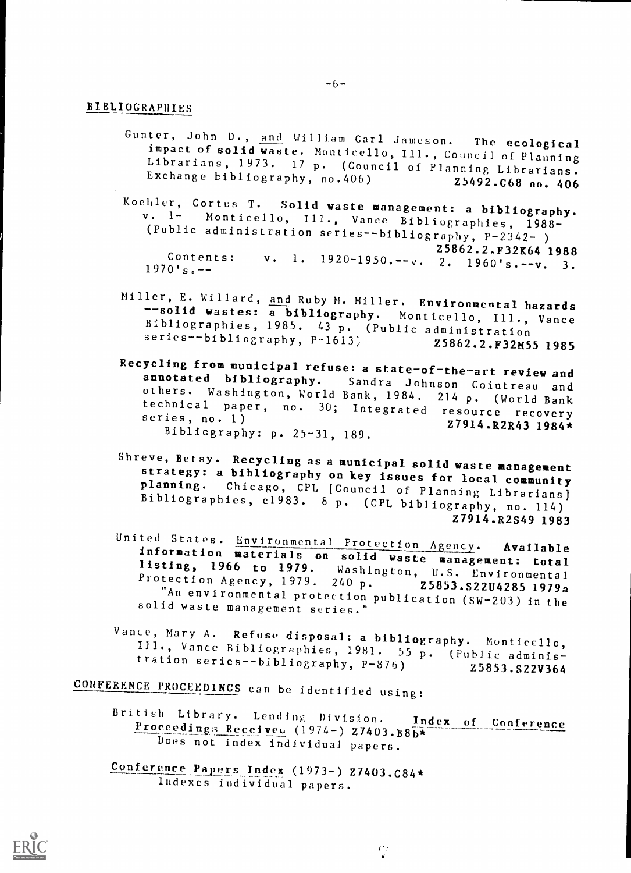#### $-6-$

## BIBLIOGRAPHIES

- Gunter, John D., and William Carl Jameson. The ecological<br>impact of solid waste. Monticello, Ill., Council of Planning<br>Librarians, 1973. 17 p. (Council of Planning Librarians.<br>Exchange bibliography, no.406) Z5492.C68 no. 4
- Koehler, Cortus T. Solid waste management: a bibliography.<br>v. 1- Monticello, Ill., Vance Bibliographies, 1988-(Public administration series--bibliography,  $P - 2342-$ )<br>25862.2.F32K64 1988 Contents: v. 1.  $1920-1950.--v.$  2.  $1960's.--v.$  3.<br>1970's.--
- Miller, E. Willard, and Ruby M. Miller. Environmental hazards<br>--solid wastes: a bibliography. Monticello, Ill., Vance<br>Bibliographies, 1985. 43 p. (Public administration<br>series--bibliography, P-1613)<br>Z5862.2.F32M55 1985
- Recycling from municipal refuse: a state-of-the-art review and<br>annotated bibliography. Sandra Johnson Cointreau and<br>others. Washington, World Bank, 1984. 214 p. (World Bank<br>technical paper, no. 30; Integrated resource reco
- Shreve, Betsy. Recycling as a municipal solid waste management strategy: a bibliography on key issues for local community planning. Chicago, CPL [Council of Planning Librarians] Bibliographies, c1983. 8 p. (CPL bibliography, no. 114) Z7914.R2S49 1983
- United States. Environmental Protection Agency. Available<br>
information materials on solid waste management: total<br>
listing, 1966 to 1979. Washington, U.S. Environmental<br>
Protection Agency, 1979. 240 p. 25853.S22U4285 1979a
- Vance, Mary A. Refuse disposal: a bibliography. Monticello, I11., Vance Bibliographies, 1981. 55 p. (Public adminis-<br>tration series--bibliography, P-876) z5853.522V364

CONFERENCE PROCEEDINGS can be identified using:

- British Library. Lending Division. Proceedings Receiveu (1974-)  $27403.BBb*$ Does not index individual papers. Index of Conference
- Conference Papers Index (1973-) Z7403.C84\* Indexes individual papers.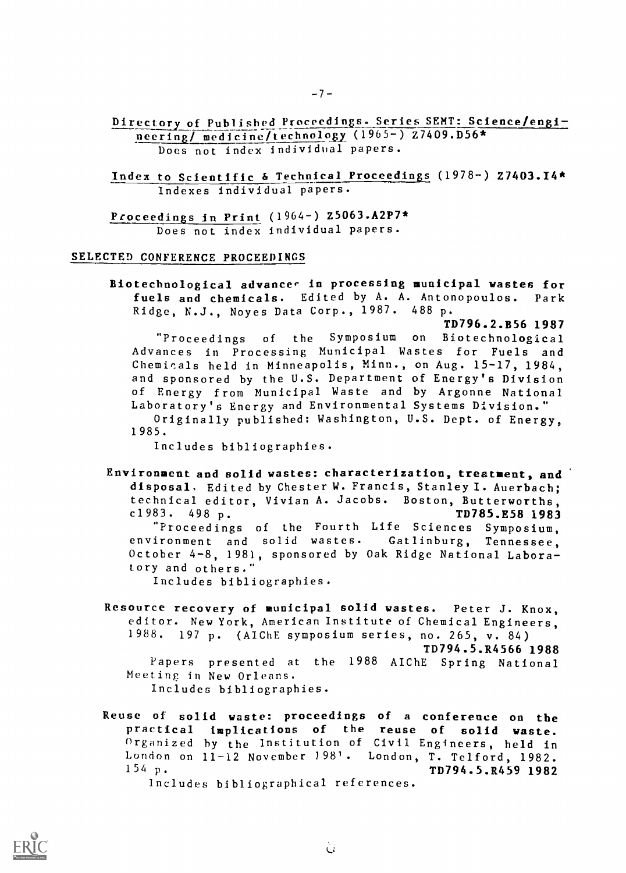Directory of Published Proceedings. Series SEMT: Science/engipeering/ medicine /technology (1965-) Z7409.D56\* Does not index individual papers.

Index to Scientific & Technical Proceedings (1978-) Z7403.14\* Indexes individual papers.

Proceedings in Print (1964-) Z5063.A2P7\* Does not index individual papers.

#### SELECTED CONFERENCE PROCEEDINGS

Biotechnological advancer in processing municipal wastes for fuels and chemicals. Edited by A. A. Antonopoulos. Park Ridge, N.J., Noyes Data Corp., 1987. 488 p.

TD796.2.B56 1987 "Proceedings of the Symposium on Biotechnological Advances in Processing Municipal Wastes for Fuels and Chemicals held in Minneapolis, Minn., on Aug. 15-17, 1984, and sponsored by the U.S. Department of Energy's Division of Energy from Municipal Waste and by Argonne National Laboratory's Energy and Environmental Systems Division." Originally published: Washington, U.S. Dept. of Energy, 1985.

Includes bibliographies.

Environment and solid wastes: characterization, treatment, and disposal. Edited by Chester W. Francis, Stanley I. Auerbach; technical editor, Vivian A. Jacobs. Boston, Butterworths,<br>c1983. 498 p. 7D785.E58 1983 TD785.E58 1983 "Proceedings of the Fourth Life Sciences Symposium, environment and solid wastes. Gatlinburg, Tennessee, October 4-8, 1981, sponsored by Oak Ridge National Laboratory and others."

Includes bibliographies.

Resource recovery of municipal solid wastes. Peter J. Knox, editor. New York, American Institute of Chemical Engineers, 1988. 197 p. ( AIChE symposium series, no. 265, v. 84) TD794.5.R4566 1988 Papers presented at the 1988 AIChE Spring National Meeting in New Orleans.

Includes bibliographies.

Reuse of solid waste: proceedings of <sup>a</sup> conference on the practical implications of the reuse of solid waste. organized by the Institution of Civil Engineers, held in London on 11-12 November 1981. London, T. Telford, 1982.<br>154 p. **1982.** TD794.5.R459 1982 154 p. TD794.5.R459 1982 Includes bibliographical references.

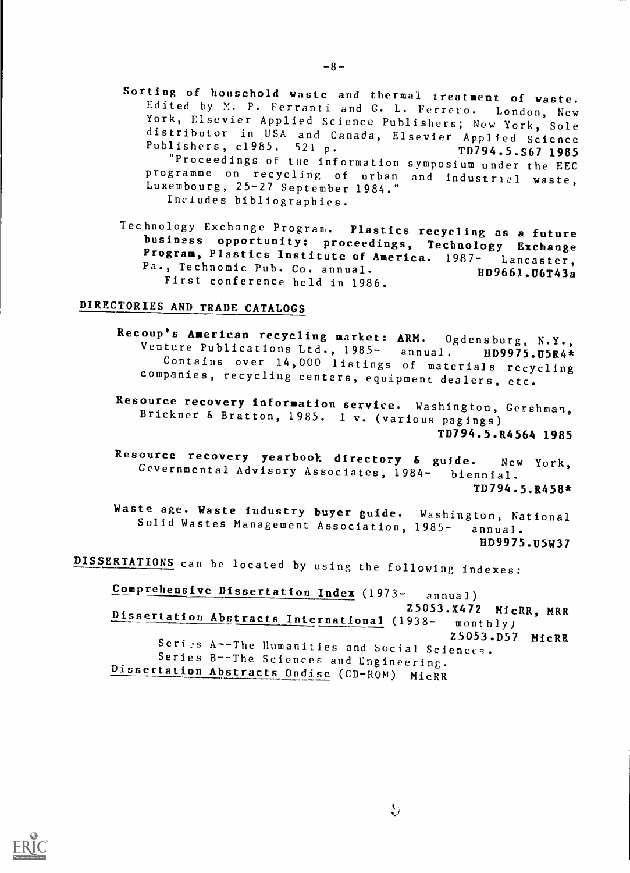- Sorting of household waste and thermal treatment of waste.<br>Edited by M. P. Ferranti and G. L. Ferrero. London, New<br>York, Elsevier Applied Science Publishers; New York, Sole<br>distributor in USA and Canada, Elsevier Applied S programme on recycling of urban and industrial waste, Luxembourg, 25-27 September 1984." Includes bibliographies.
- Technology Exchange Program. Plastics recycling as a future<br>business opportunity: proceedings, Technology Exchange<br>Program, Plastics Institute of America. 1987- Lancaster,<br>Pa., Technomic Pub. Co. annual. HD9661.U6T43a<br>Firs

# DIRECTORIES AND TRADE CATALOGS

Recoup's American recycling market: ARM. Ogdensburg, N.Y.,<br>Venture Publications Ltd., 1985- annual. HD9975.D5R4\*<br>Contains over 14,000 listings of materials recycling<br>companies, recycling centers, equipment dealers, etc.

Resource recovery information service. Washington, Gershman, Brickner & Bratton, 1985. 1 v. (various pagings) TD794.5.R4564 1985

Resource recovery yearbook directory & guide. New York, Governmental Advisory Associates, 1984- biennial. TD794.5.R458\*

Waste age. Waste industry buyer guide. Washington, National<br>Solid Wastes Management Association, 1985- annual. HD9975.1l5W37

DISSERTATIONS can be located by using the following indexes:

Comprehensive Dissertation Index (1973- annual)<br>
25053.X472 MicRR, MRR Dissertation Abstracts International (1938- monthly)<br>25053.D57 MicRR Series A--The Humanities and Social Sciences.<br>Series B--The Sciences and Engineering. Dissertation Abstracts Ondisc (CD-ROM) MicRR



复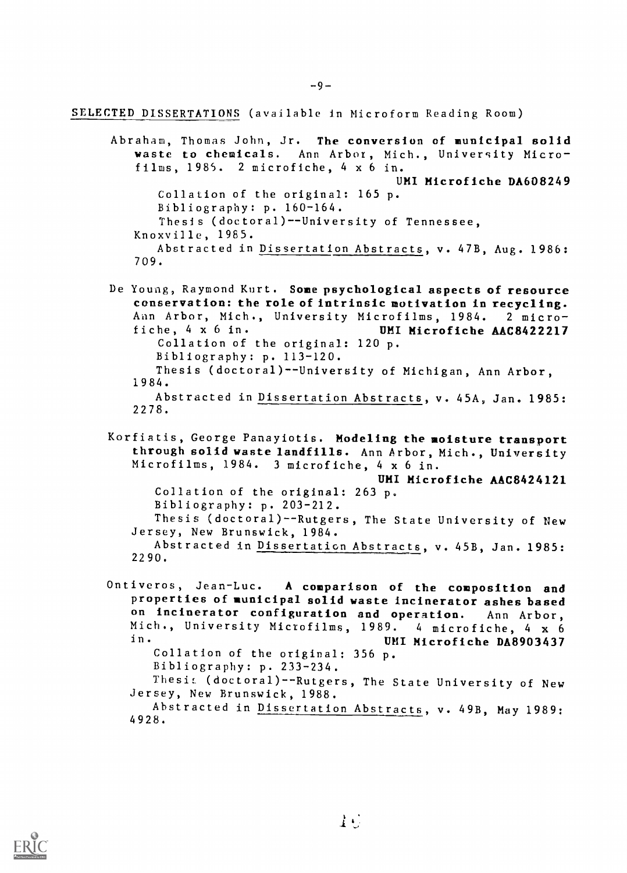SELECTED DISSERTATIONS (available in Microform Reading Room)

Abraham, Thomas John, Jr. The conversion of municipal solid waste to chemicals. Ann Arbor, Mich., University Microfilms, 1985. 2 microfiche, 4 x 6 in. UMI Microfiche DA608249 Collation of the original: 165 p. Bibliography: p. 160-164. Thesis (doctoral)--University of Tennessee, Knoxville, 1985. Abstracted in Dissertation Abstracts, v. 47B, Aug. 1986: 709.

De Young, Raymond Kurt. Some psychological aspects of resource conservation: the role of intrinsic motivation in recycling. Ann Arbor, Mich., University Microfilms, 1984. 2 micro-<br>fiche, 4 x 6 in. UMI Microfiche AAC8422217 UMI Microfiche AAC8422217 Collation of the original: 120 p. Bibliography: p. 113-120. Thesis (doctoral)--University of Michigan, Ann Arbor, 1984. Abstracted in Dissertation Abstracts, v. 45A, Jan. 1985: 2278.

Korfiatis, George Panayiotis. Modeling the moisture transport through solid waste landfills. Ann Arbor, Mich., University Microfilms, 1984. 3 microfiche, 4 x 6 in. UMI Microfiche AAC8424121 Collation of the original: 263 p. Bibliography: p. 203-212. Thesis (doctoral)--Rutgers, The State University of New Jersey, New Brunswick, 1984. Abstracted in Dissertation Abstracts, v. 45B, Jan. 1985: 2290.

Ontiveros, Jean-Luc. A comparison of the composition and properties of municipal solid waste incinerator ashes based on incinerator configuration and operation. Ann Arbor, Mich., University Microfilms, 1989. 4 microfiche, 4 x 6<br>in. UNI Microfiche DAROO3637 UMI Microfiche DA8903437 Collation of the original: 356 p. Bibliography: p. 233-234. Thesis (doctoral) -- Rutgers, The State University of New Jersey, New Brunswick, 1988. Abstracted in Dissertation Abstracts, v. 49B, May 1989: 4928.

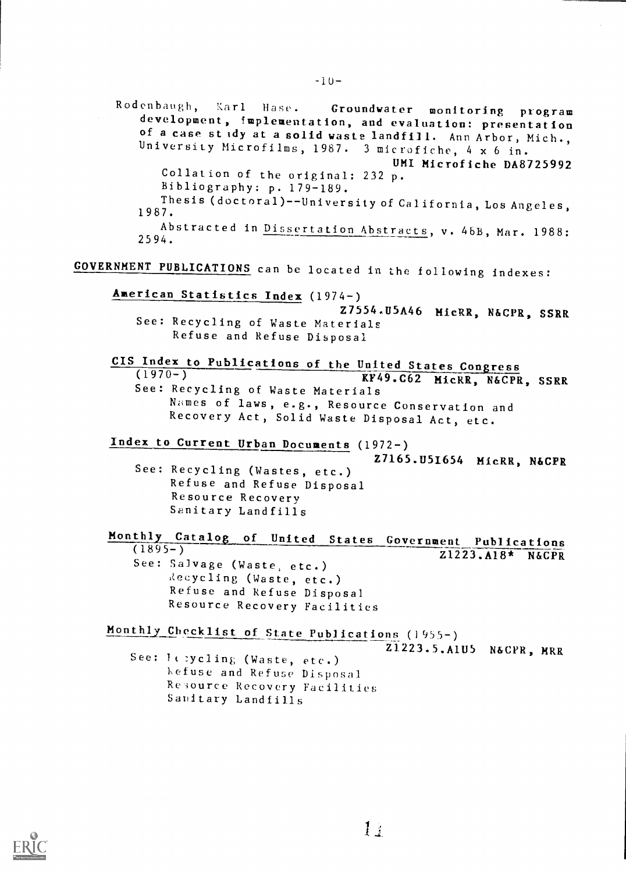Rodenbaugh, Karl Hase. Groundwater monitoring program<br>development, implementation, and evaluation: presentation of a case stidy at a solid waste landfill. Ann Arbor, Mich., University Microfilms, 1987. 3 microfiche, 4 x 6 in. UMI Microfiche DA8725992 Collation of the original: 232 p. Bibliography: p. 179-189. Thesis (doctoral)--University of California, Los Angeles, 1987. Abstracted in *Dissertation Abstracts*, v. 46B, Mar. 1988: 2594. GOVERNMENT PUBLICATIONS can be located in the following indexes: American Statistics Index (1974-) Z7554.U5A46 MicRR, N&CPR, SSRR See: Recycling of Waste Materials Refuse and Refuse Disposal CIS Index to Publications of the United States Congress KY49.C62 MicRR, N&CPR, SSRR See: Recycling of Waste Materials Names of laws, e.g., Resource Conservation and Recovery Act, Solid Waste Disposal Act, etc. index to Current Urban Documents (1972-) Z7165.U51654 MicRR, N&CPR See: Recycling (Wastes, etc.) Refuse and Refuse Disposal Resource Recovery Sanitary Landfills Monthly Catalog of United States Government Publications<br>(1895-) Z1223.A18\* N&CPR See: Salvage (Waste, etc.) Recycling (Waste, etc.) Refuse and Refuse Disposal Resource Recovery Facilities Monthly Checklist of. State Publications (1955-) Z1223.5.A1U5 N&CPR, MRR See: It :ycling (Waste, etc.) l\efuse and Refuse Disposal Resource Recovery Facilities Sanitary Landfills

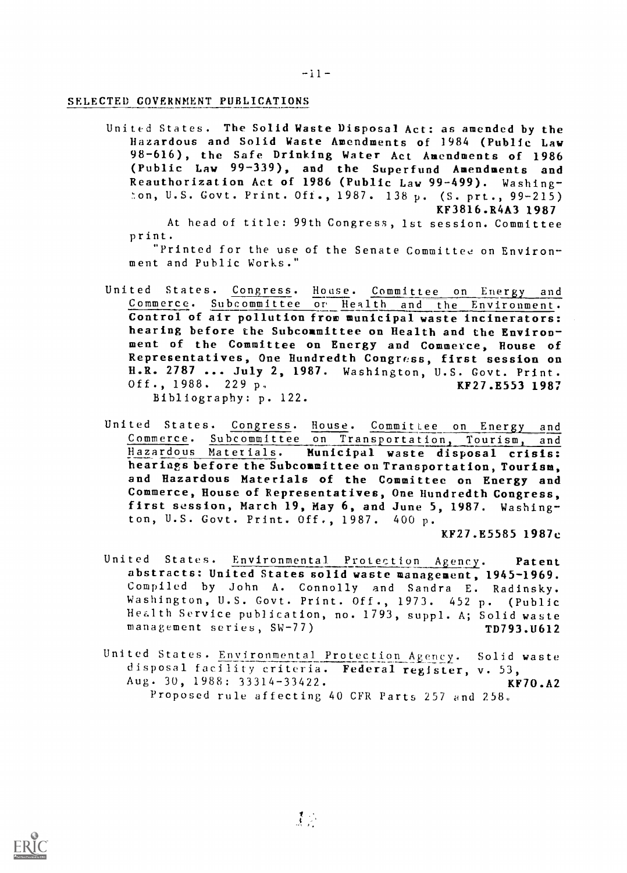#### SELECTED GOVERNMENT PUBLICATIONS

United States. The Solid Waste Disposal Act: as amended by the Hazardous and Solid Waste Amendments of 1984 (Public Law 98-616), the Safe Drinking Water Act Amendments of 1986 (Public Law 99-339), and the Superfund Amendments and Reauthorization Act of 1986 (Public Law 99-499). Washing- `Ion, U.S. Govt. Print. Oft., 1987. 138 p. (S. prt., 99-215) KF3816.R4A3 1987

At head of title: 99th Congress, 1st session. Committee print.

"Printed for the use of the Senate Committee on Environment and Public Works."

- United States. Congress. House. Committee on Energy and Commerce. Subcommittee or Health and the Environment. Control of air pollution from municipal waste incinerators: hearing before the Subcommittee on Health and the Environment of the Committee on Energy and Commerce, House of Representatives, One Hundredth Congress, first session on H.R. 2787 ... July 2, 1987. Washington, U.S. Govt. Print.<br>Off., 1988. 229 p. Off., 1988. 229 p. Bibliography: p. 122.
- United States. Congress. House. Committee on Energy and Commerce. Subcommittee on Transportation, Tourism, and Hazardous Materials. Municipal waste disposal crisis: hearings before the Subcommittee on Transportation, Tourism, and Hazardous Materials of the Committee on Energy and Commerce, House of Representatives, One Hundredth Congress, first session, March 19, May 6, and June 5, 1987. Washington, U.S. Govt. Print. Off., 1987. 400 p.

KF27.E5585 1987:

- United States. Environmental. Protection Agency. Patent abstracts: United States solid waste management, 1945-1969. Compiled by John A. Connolly and Sandra E. Radinsky. Washington, U.S. Govt. Print. Off., 1973. 452 p. (Public He.lth Service publication, no. 1793, suppl. A; Solid waste management series, SW-77) TD793.U612
- United States. Environmental Protection Agency. Solid waste disposal facility criteria. Federal register, v. 53, Aug. 30, 1988: 33314-33422. KF70.A2 Proposed rule affecting 40 CFR Parts 257 and 258.

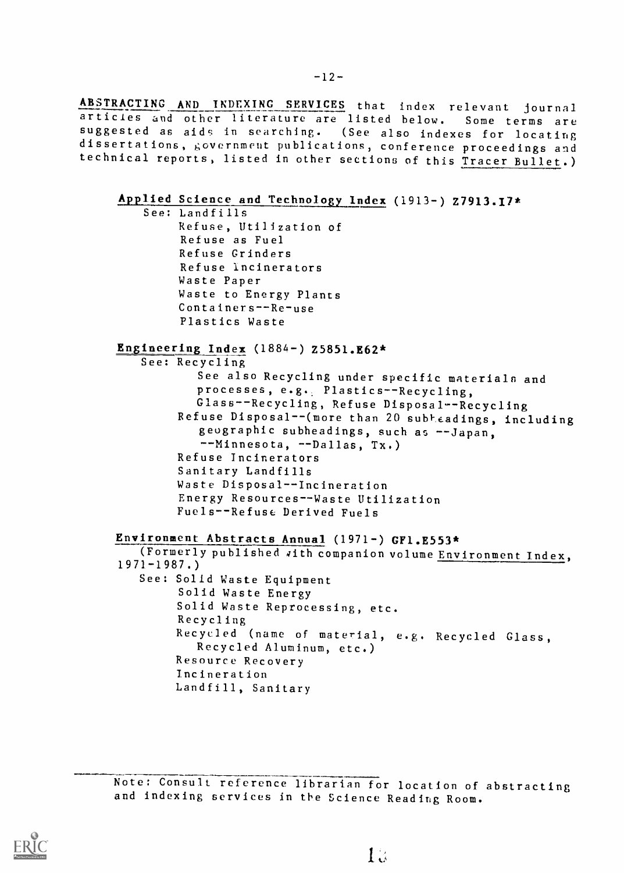ABSTRACTING AND INDEXING SERVICES that index relevant journal articles and other literature are listed below. Some terms are suggested as aids in searching. (See also indexes for locating dissertations, government publications, conference proceedings and technical reports, listed in other sections of this Tracer Bullet.)

```
Applied Science and Technology Index (1913-) Z7913.17*
```

```
See: Landfills
        Refuse, Utilization of
        Refuse as Fuel
        Refuse Grinders
        Refuse incinerators
        Waste Paper
        Waste to Energy Plants
        Containers--Re-use
        Plastics Waste
Engineering Index (1884-) Z5851.E62*
   See: Recycling
           See also Recycling under specific materials and
           processes, e.g. Plastics--Recycling,
           Glass--Recycling, Refuse Disposal--Recycling
        Refuse Disposal--(more than 20 subheadings, including
           geographic subheadings, such as --Japan,
           --Minnesota, --Dallas, Tx.)
        Refuse Incinerators
        Sanitary Landfills
        Waste Disposal--Incineration
        Energy Resources--Waste Utilization
        Fuels--Refuse Derived Fuels
Environment Abstracts Annual (1971-) GP1.E553*
   (Formerly published with companion volume Environment Index,
1971-1987.)
   See: Solid Waste Equipment
        Solid Waste Energy
        Solid Waste Reprocessing, etc.
        Recycling
        Recycled (name of material, e.g. Recycled Glass,
           Recycled Aluminum, etc.)
        Resource Recovery
        Incineration
        Landfill, Sanitary
```


Note: Consult reference librarian for location of abstracting and indexing services in the Science Reading Room.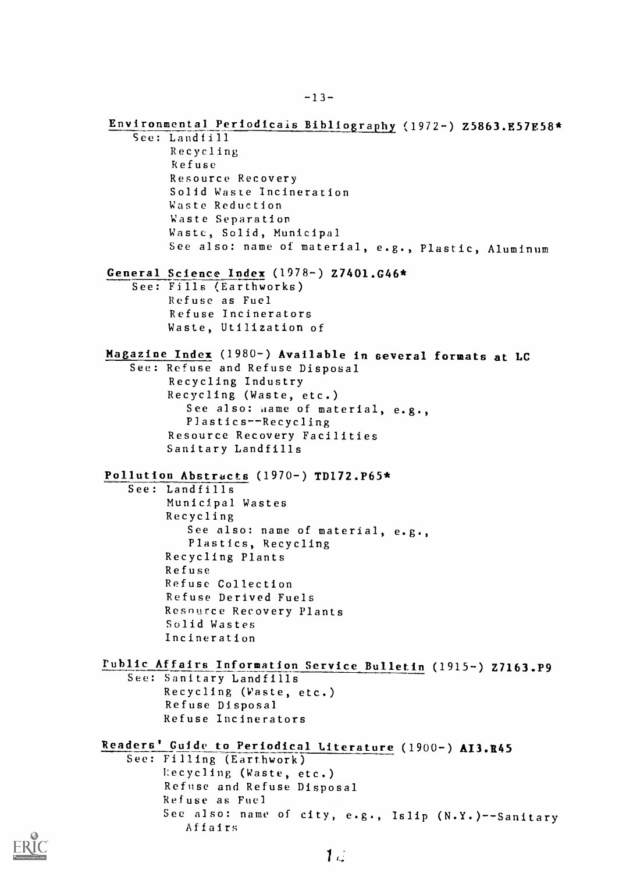Environmental Periodicais Bibliography (1972-) Z5863.E57E58\* See: Landfill Recycling Refuse Resource Recovery Solid Waste Incineration Waste Reduction Waste Separation Waste, Solid, Municipal See also: name of material, e.g., Plastic, Aluminum General Science Index (1978-) Z7401.G46\* See: Fills (Earthworks) Refuse as Fuel Refuse Incinerators Waste, Utilization of Magazine Index (1980-) Available in several formats at LC See: Refuse and Refuse Disposal Recycling Industry Recycling (Waste, etc.) See also: hame of material, e.g., Plastics--Recycling Resource Recovery Facilities Sanitary Landfills Pollution Abstracts (1970-) TD172.P65\* See: Landfills Municipal Wastes Recycling See also: name of material, e. g., Plastics, Recycling Recycling Plants Refuse Refuse Collection Refuse Derived Fuels Resnurce Recovery Plants Solid Wastes Incineration Public. Affairs Information Service Bulletin (1915-) Z7163.P9 See: Sanitary Landfills Recycling (Waste, etc.) Refuse Disposal Refuse Incinerators Readers' Guide to Periodical Literature (1900-) AI3.R45 See: Filling (Earthwork) Lecycling (Waste, etc.) Refuse and Refuse Disposal Refuse as Fuel See also: name of city, e.g., Islip (N.Y.)--Sanitary Affairs

-13--

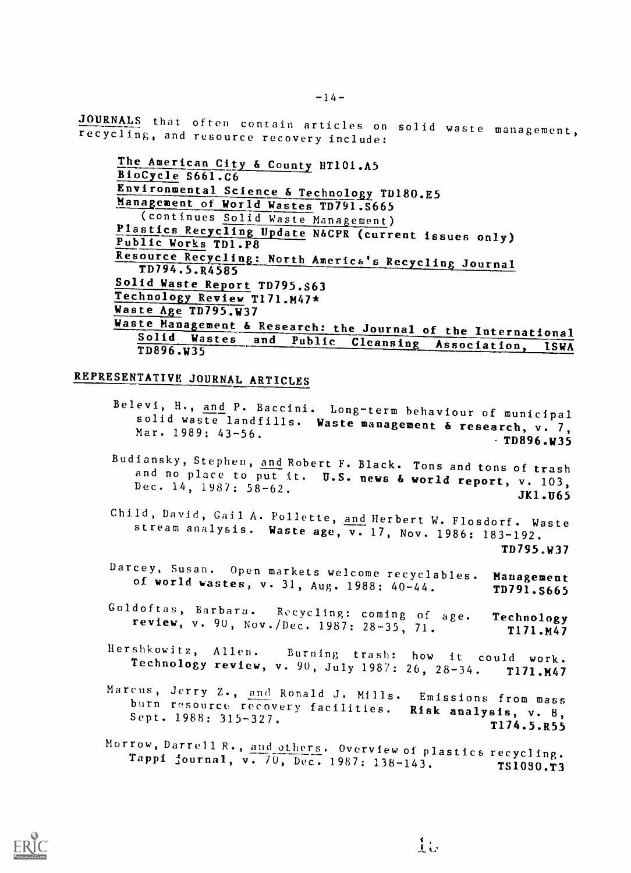JOURNALS that often contain articles on solid waste management, recycling, and resource recovery include:

The American City & County HT101.A5 BioCycle S661.C6<br>Environmental Science & Technology TD180.E5 Management of World Wastes TD791.S665 (continues Solid Waste Management) Plastics Recycling Update N&CPR (current issues only) Public Works TD1.P8 Resource Recycling: North America's Recycling Journal TD794.5.R4585 Solid Waste Report TD795.S63 Technology Review T171.M47\* Waste Age TD795.W37<br>Waste Management & Research: the Journal of the International Solid Wastes and Public Cleansing Association, ISWA TD896.W35

# REPRESENTATIVE JOURNAL ARTICLES

- Belevi, H., and P. Baccini. Long-term behaviour of municipal<br>solid waste landfills. Waste management & research, v. 7,<br>Mar. 1989: 43-56.  $-$  TD896.W35
- Budiansky, Stephen, and Robert F. Black. Tons and tons of trash and no place to put it. U.S. news & world report, v. 103, Dec. 14, 1987: 58-62.
- Child, David, Gail A. Follette, and Herbert W. Flosdorf. Waste stream analysis. Waste age, v. 17, Nov. 1986: 183-192. TD795.W37
- Darcey, Susan. Open markets welcome recyclables. Management<br>of world wastes, v. 31, Aug. 1988: 40-44. TD791.S665
- Goldoftas, Barbara. Recycling: coming of age. review, v. 90, Nov./Dec. 1987: 28-35, 71. Technology T171.M47
- Hershkowitz, Allen. Burning trash: how it could work. Technology review, v. 90, July 1987: 26, 28-34. T171.M47

Marcus, Jerry Z., and Ronald J. Mills. Emissions from mass<br>burn resource recovery facilities. Risk analysis, v. 8,<br>Sept. 1988: 315-327. T174.5.R55

Morrow, Darrell R., and others. Overview of plastics recycling.<br>Tappi journal, v. 70, Dec. 1987: 138-143. TS1080.T3



 $1\circ$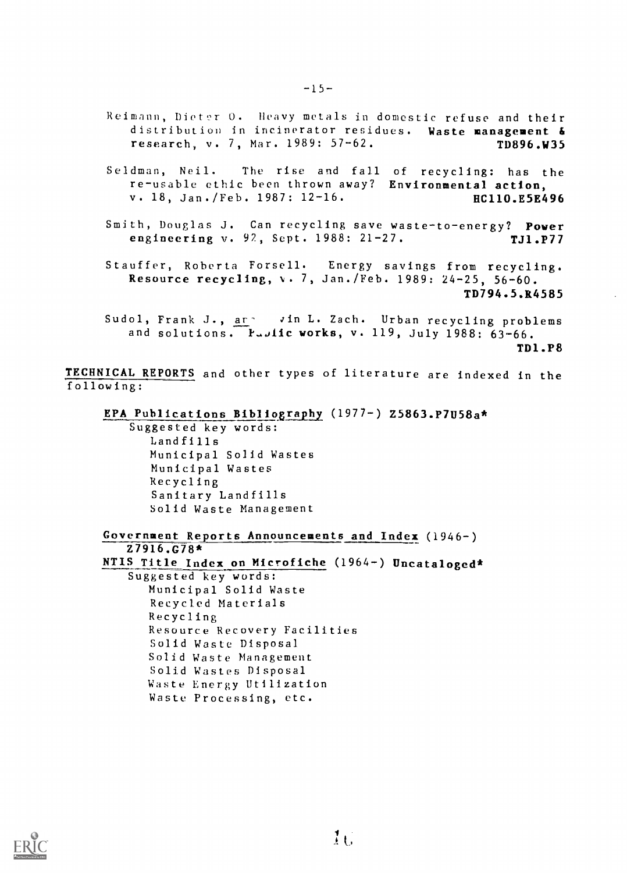- Reimann, Dieter O. Heavy metals in domestic refuse and their distribution in incinerator residues. Waste management & research, v. 7, Mar. 1989: 57-62. TD896.W35
- Seidman, Neil. The rise and fall of recycling: has the re-usable ethic been thrown away? Environmental action, v. 18, Jan./Feb. 1987: 12-16. HC110.E5E496
- Smith, Douglas J. Can recycling save waste-to-energy? Power engineering v. 92, Sept. 1988: 21-27. TJ1.P77
- Stauffer, Roberta Forsell. Energy savings from recycling. Resource recycling, v. 7, Jan./Feb. 1989: 24-25, 56-60. TD794.5.R4585

Sudol, Frank J., are vin L. Zach. Urban recycling problems and solutions. Fublic works, v. 119, July 1988: 63-66. TD1.P8

TECHNICAL REPORTS and other types of literature are indexed in the following:

#### EPA Publications Bibliography (1977-) Z5863.P7U58a\*

Suggested key words: Landfills Municipal Solid Wastes Municipal Wastes Recycling Sanitary Landfills Solid Waste Management

Government Reports Announcements and Index (1946-) Z7916.G78\* NTIS Title Index on Microfiche (1964-) Uncataloged\* Suggested key words: Municipal Solid Waste Recycled Materials Recycling Resource Recovery Facilities Solid Waste Disposal Solid Waste Management Solid Wastes Disposal Waste Energy Utilization Waste Processing, etc.

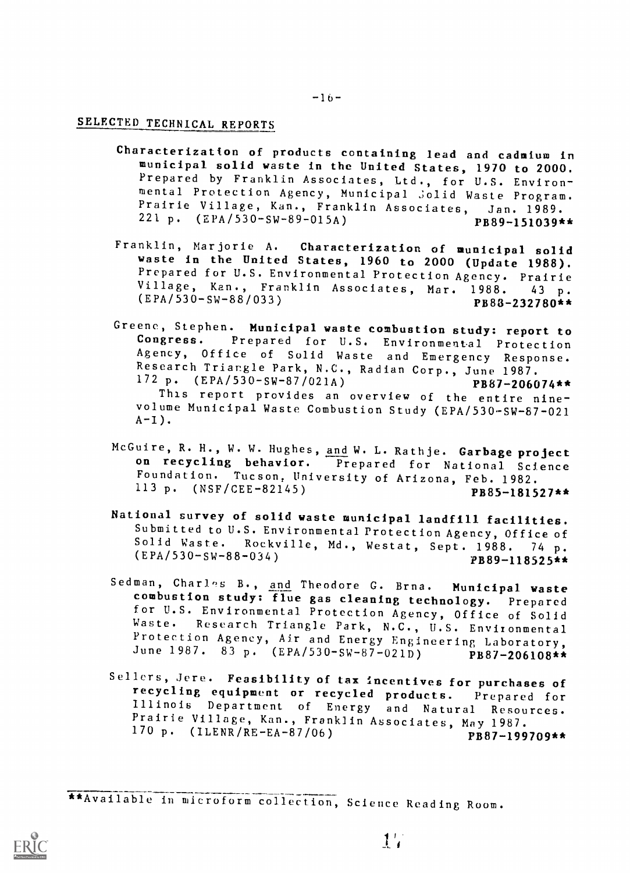## SELECTED TECHNICAL REPORTS

- Characterization of products containing lead and cadmium in municipal solid waste in the United States, 1970 to 2000. Prepared by Franklin Associates, Ltd., for U.S. Environmental Protection Agency, Municipal Solid Waste Program. Prairie Village, Kan., Franklin Associates, Jan. 1989.<br>221 p. (EPA/530-SW-89-015A) PB89-151039\*\* 221 p. (EPA/530-SW-89-015A)
- Franklin, Marjorie A. Characterization of municipal solid waste in the United States, 1960 to 2000 (Update 1988). Prepared for U.S. Environmental Protection Agency. Prairie Village, Kan., Franklin Associates, Mar. 1988. <sup>43</sup> p.  $(EPA/530-SW-88/033)$  PB83-232780\*\*
- Greene, Stephen. Municipal waste combustion study: report to Congress. Prepared for U.S. Environmental Protection<br>Agency, Office of Solid Waste and Emergency Response. Research Triangle Park, N.C., Radian Corp., June 1987.<br>172 p. (EPA/530-SW-87/021A) PB87-2060  $172 p.$  (EPA/530-SW-87/021A) PB87-206074\*\* This report provides an overview of the entire ninevolume Municipal Waste Combustion Study (EPA/530-SW-87-021  $A-I$ ).
- McGuire, R. H., W. W. Hughes, and W. L. Rathje. Garbage project on recycling behavior. Prepared for National Science Foundation. Tucson, University of Arizona, Feb. 1982. 113 p. (NSF/CEE-82145) PB85-181527\*\*
- National survey of solid waste municipal landfill facilities.<br>Submitted to U.S. Environmental Protection Agency, Office of Solid Waste. Rockville, Md., Westat, Sept. 1988. 74 p.<br>(EPA/530-SW-88-034) PB89-118525\*\*
- Sedman, Charles B., and Theodore G. Brna. Municipal waste<br>combustion study: flue gas cleaning technology. Prepared for U.S. Environmental Protection Agency, Office of Solid Waste. Research Triangle Park, N.C., U.S. Environmental Protection Agency, Air and Energy Engineering Laboratory, June 1987. 83 p. (EPA/530-SW-87-021D) PB87-206108\*\*
- Sellers, Jere. Feasibility of tax incentives for purchases of recycling equipment or recycled products. Prepared for Illinois Department of Energy and Natural Resources. Prairie Village, Kan., Franklin Associates, May 1987. 170 p. (ILENR/RE-EA-87/06) PB87-199709\*\*

\*\*Available in microform collection, Science Reading Room.



 $17$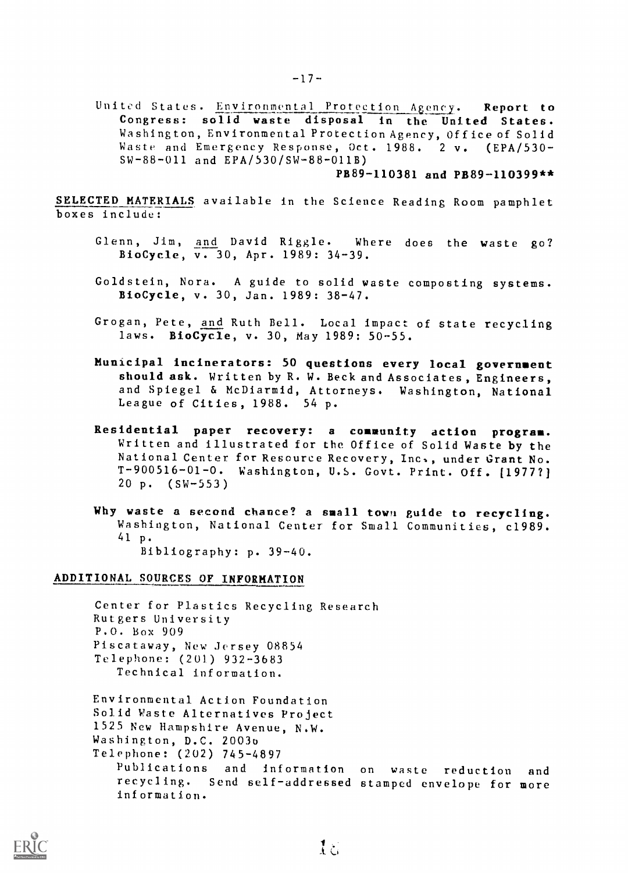United States. Environmental Protection Agency. Report to Congress: solid waste disposal in the United States. Washington, Environmental Protection Agency, Office of Solid Waste and Emergency Response, Oct. 1988. 2 v. (EPA/530-SW -88 -011 and EPA/530/SW-88-011B)

PB89-110381 and PB89-110399\*\*

SELECTED MATERIALS available in the Science Reading Room pamphlet boxes include:

- Glenn, Jim, and David Riggle. Where does the waste go? BioCycle, v. 30, Apr. 1989: 34-39.
- Goldstein, Nora. A guide to solid waste composting systems. BioCycle, v. 30, Jan. 1989: 38-47.
- Grogan, Pete, and Ruth Bell. Local impact of state recycling laws. BioCycle, v. 30, May 1989: 50-55.
- Municipal incinerators: 50 questions every local government should ask. Written by R. W. Beck and Associates, Engineers, and Spiegel & McDiarmid, Attorneys. Washington, National League of Cities, 1988. 54 p.
- Residential paper recovery: <sup>a</sup> community action program. Written and illustrated for the Office of Solid Waste by the National Center for Resource Recovery, Inc., under Grant No. T-900516-01-0. Washington, U.S. Govt. Print. Off. [1977 ?] 20 p. (SW-553)
- Why waste a second chance? a small town guide to recycling. Washington, National Center for Small Communities, c1989. 41 P. Bibliography: p. 39-40.

#### ADDITIONAL SOURCES OF INFORMATION

Center for Plastics Recycling Research Rutgers University P.O. Box 909 Piscataway, New Jersey 08854 Telephone: (201) 932-3683 Technical information.

Environmental Action Foundation Solid Waste Alternatives Project 1525 New Hampshire Avenue, N.W. Washington, D.C. 2003u Telephone: (202) 745-4897 Publications and information on waste reduction and recycling. Send self-addressed stamped envelope for more information.